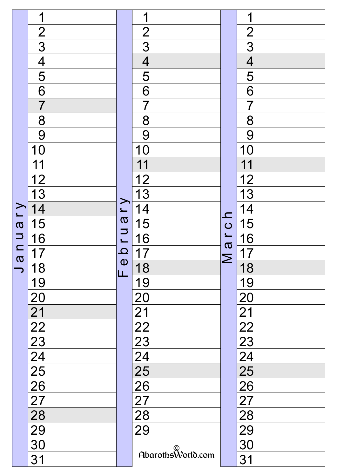|                               | 1                                                                                           |                                                 | 1                                                                               |                                    | 1                                                                                 |
|-------------------------------|---------------------------------------------------------------------------------------------|-------------------------------------------------|---------------------------------------------------------------------------------|------------------------------------|-----------------------------------------------------------------------------------|
|                               |                                                                                             |                                                 | $\overline{2}$                                                                  |                                    | $\overline{2}$                                                                    |
|                               | $\frac{2}{3}$                                                                               |                                                 | $\overline{3}$                                                                  |                                    | $\overline{3}$                                                                    |
|                               | $\overline{4}$                                                                              |                                                 | $\overline{\mathcal{A}}$                                                        |                                    | $\overline{\mathcal{A}}$                                                          |
|                               | $\overline{\overline{5}}$                                                                   |                                                 | 5                                                                               |                                    | 5                                                                                 |
|                               | $\overline{6}$                                                                              |                                                 | $\underline{6}$                                                                 |                                    | $6 \overline{}$                                                                   |
|                               | $\overline{7}$                                                                              |                                                 | $\overline{7}$                                                                  |                                    | $\overline{7}$                                                                    |
|                               | 8                                                                                           |                                                 | 8                                                                               |                                    | 8                                                                                 |
|                               | 9                                                                                           |                                                 | 9                                                                               |                                    | 9                                                                                 |
|                               | 10                                                                                          |                                                 | 10                                                                              |                                    | 10                                                                                |
|                               | 11                                                                                          |                                                 | 11                                                                              |                                    | 11                                                                                |
|                               | $\frac{12}{13}$                                                                             |                                                 | $\overline{12}$                                                                 |                                    | $\overline{12}$                                                                   |
|                               |                                                                                             |                                                 | <u>13</u>                                                                       |                                    | $\overline{13}$                                                                   |
| Γ<br>                         | $\overline{14}$                                                                             | a r y                                           | 14                                                                              | $\mathbf{\Omega}$                  | 14                                                                                |
| $\boldsymbol{\sigma}$         | 15                                                                                          | U<br>$\overline{\mathbf{C}}$<br>$\bf \Phi$<br>ட | 15                                                                              | $\overline{C}$<br>1<br>a<br>$\geq$ | 15                                                                                |
| $\Rightarrow$                 | 16                                                                                          |                                                 | 16                                                                              |                                    | 16                                                                                |
| $\Box$<br>$\overline{\sigma}$ | 17                                                                                          |                                                 | $\overline{7}$                                                                  |                                    | 17                                                                                |
|                               | <u> 18</u>                                                                                  |                                                 | 18                                                                              |                                    | 18                                                                                |
|                               | 19                                                                                          |                                                 | 19                                                                              |                                    | <u>19</u>                                                                         |
|                               |                                                                                             |                                                 |                                                                                 |                                    |                                                                                   |
|                               |                                                                                             |                                                 | $\frac{20}{21}$ $\frac{22}{23}$ $\frac{23}{24}$ $\frac{25}{29}$ $\frac{27}{29}$ |                                    |                                                                                   |
|                               |                                                                                             |                                                 |                                                                                 |                                    |                                                                                   |
|                               |                                                                                             |                                                 |                                                                                 |                                    |                                                                                   |
|                               |                                                                                             |                                                 |                                                                                 |                                    |                                                                                   |
|                               |                                                                                             |                                                 |                                                                                 |                                    |                                                                                   |
|                               |                                                                                             |                                                 |                                                                                 |                                    |                                                                                   |
|                               |                                                                                             |                                                 |                                                                                 |                                    |                                                                                   |
|                               |                                                                                             |                                                 |                                                                                 |                                    |                                                                                   |
|                               | $\frac{20}{22}$<br>$\frac{23}{24}$<br>$\frac{25}{26}$<br>$\frac{27}{29}$<br>$\frac{28}{29}$ |                                                 |                                                                                 |                                    | $\frac{201}{2223} \underline{234} \underline{25} \underline{289} \underline{290}$ |
|                               | 30                                                                                          |                                                 | AbarothsWorld.com                                                               |                                    |                                                                                   |
|                               | 31                                                                                          |                                                 |                                                                                 |                                    | $\overline{31}$                                                                   |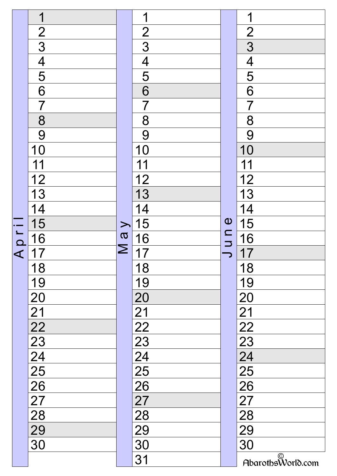|                      | 1                                                     |                                                                                                                                 | $\blacktriangleleft$                                  |                                                                          | 1                                                     |
|----------------------|-------------------------------------------------------|---------------------------------------------------------------------------------------------------------------------------------|-------------------------------------------------------|--------------------------------------------------------------------------|-------------------------------------------------------|
|                      |                                                       |                                                                                                                                 | $\overline{2}$                                        |                                                                          | $\overline{2}$                                        |
|                      | $\frac{2}{3}$                                         |                                                                                                                                 | 3                                                     |                                                                          | $\overline{3}$                                        |
|                      | $\overline{\mathcal{A}}$                              |                                                                                                                                 | $\overline{4}$                                        |                                                                          | $\overline{4}$                                        |
|                      | $\overline{\overline{5}}$                             |                                                                                                                                 | 5                                                     |                                                                          | $\overline{5}$                                        |
|                      | 6                                                     |                                                                                                                                 | 6                                                     |                                                                          | 6                                                     |
|                      | $\overline{7}$                                        |                                                                                                                                 | $\overline{7}$                                        |                                                                          | $\overline{7}$                                        |
|                      | 8                                                     |                                                                                                                                 | 8                                                     |                                                                          | 8                                                     |
|                      | 9                                                     |                                                                                                                                 | 9                                                     |                                                                          | 9                                                     |
|                      | 10                                                    |                                                                                                                                 | 10                                                    |                                                                          | 10                                                    |
|                      | 11                                                    |                                                                                                                                 | 11                                                    |                                                                          | 11                                                    |
|                      | $\frac{12}{13}$                                       |                                                                                                                                 | <u>12</u>                                             |                                                                          | $\overline{12}$                                       |
|                      |                                                       |                                                                                                                                 | 13                                                    |                                                                          | $\overline{13}$                                       |
|                      | <u>14</u>                                             |                                                                                                                                 | 14                                                    |                                                                          | 14                                                    |
|                      | $\overline{15}$                                       | $\geq$                                                                                                                          | 15                                                    | $\boldsymbol{\omega}$<br>$\mathbf{\subseteq}$<br>$\overline{\mathbf{z}}$ | 15                                                    |
| $\Omega$             | 16                                                    | $\frac{1}{2}$                                                                                                                   | <u>16</u>                                             |                                                                          | 16                                                    |
| $\blacktriangleleft$ | 17                                                    | $\mathsf{\Sigma}% _{M_{1},M_{2}}^{\alpha,\beta}(\mathbf{X};z)=\mathsf{\Sigma}_{M_{1},M_{2},M_{2}}^{\alpha,\beta}(\mathbf{X};z)$ | 17                                                    |                                                                          | $\overline{7}$                                        |
|                      | 18                                                    |                                                                                                                                 | 18                                                    |                                                                          | 18                                                    |
|                      | 19                                                    |                                                                                                                                 | 19                                                    |                                                                          | 19                                                    |
|                      | 20                                                    |                                                                                                                                 |                                                       |                                                                          | $\overline{20}$                                       |
|                      |                                                       |                                                                                                                                 |                                                       |                                                                          |                                                       |
|                      |                                                       |                                                                                                                                 |                                                       |                                                                          |                                                       |
|                      | $\frac{21}{22}$<br>$\frac{23}{24}$<br>$\frac{24}{25}$ |                                                                                                                                 | $\frac{20}{21}$<br>$\frac{22}{23}$<br>$\frac{23}{25}$ |                                                                          | $\frac{21}{22}$<br>$\frac{23}{24}$<br>$\frac{25}{26}$ |
|                      |                                                       |                                                                                                                                 |                                                       |                                                                          |                                                       |
|                      |                                                       |                                                                                                                                 |                                                       |                                                                          |                                                       |
|                      | $\overline{26}$                                       |                                                                                                                                 |                                                       |                                                                          |                                                       |
|                      |                                                       |                                                                                                                                 |                                                       |                                                                          |                                                       |
|                      | $\frac{27}{27}$ $\frac{28}{29}$                       |                                                                                                                                 |                                                       |                                                                          | $\frac{18}{27}$<br>$\frac{28}{29}$                    |
|                      |                                                       |                                                                                                                                 | $\frac{26}{27}$<br>$\frac{28}{29}$<br>$\frac{29}{30}$ |                                                                          |                                                       |
|                      | 30                                                    |                                                                                                                                 |                                                       |                                                                          | $\overline{30}$                                       |
|                      |                                                       |                                                                                                                                 | 31                                                    |                                                                          | AbarothsWorld.com                                     |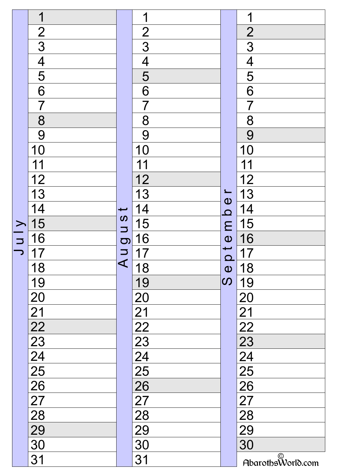|        | 1                                                                                    |                                    | 1                                                                                                                         |                                                                                                      | 1                                                                                                              |
|--------|--------------------------------------------------------------------------------------|------------------------------------|---------------------------------------------------------------------------------------------------------------------------|------------------------------------------------------------------------------------------------------|----------------------------------------------------------------------------------------------------------------|
|        |                                                                                      |                                    | $\overline{2}$                                                                                                            |                                                                                                      | $\overline{2}$                                                                                                 |
|        | $\frac{2}{3}$                                                                        |                                    | 3                                                                                                                         |                                                                                                      | $\overline{3}$                                                                                                 |
|        | $\overline{\mathcal{A}}$                                                             |                                    | $\overline{4}$                                                                                                            |                                                                                                      | $\overline{4}$                                                                                                 |
|        | 5                                                                                    |                                    | 5                                                                                                                         |                                                                                                      | $\overline{5}$                                                                                                 |
|        | $\overline{6}$                                                                       |                                    | 6                                                                                                                         |                                                                                                      | $\overline{6}$                                                                                                 |
|        | $\overline{7}$                                                                       |                                    | $\overline{7}$                                                                                                            |                                                                                                      | $\overline{7}$                                                                                                 |
|        | 8                                                                                    |                                    | 8                                                                                                                         |                                                                                                      | 8                                                                                                              |
|        | 9                                                                                    |                                    | 9                                                                                                                         |                                                                                                      | 9                                                                                                              |
|        | 10                                                                                   |                                    | 10                                                                                                                        |                                                                                                      | 10                                                                                                             |
|        | 11                                                                                   |                                    | 11                                                                                                                        |                                                                                                      | 11                                                                                                             |
|        | $\frac{12}{13}$                                                                      |                                    | <u>12</u>                                                                                                                 |                                                                                                      | $\frac{12}{13}$                                                                                                |
|        |                                                                                      |                                    | 13                                                                                                                        | $\mathbf 0$                                                                                          |                                                                                                                |
|        | <u>14</u>                                                                            | $\overline{\phantom{0}}$           | 14                                                                                                                        | $\overline{\mathbf{C}}$                                                                              | 14                                                                                                             |
| $\geq$ | 15                                                                                   | $\boldsymbol{\omega}$<br>$\supset$ | 15                                                                                                                        | E                                                                                                    | 15                                                                                                             |
| $\Box$ | 16                                                                                   | $\sigma$                           | 16                                                                                                                        | $\overline{\mathbf{0}}$<br>$\overline{\mathbf{C}}$<br>$\boldsymbol{\omega}$<br>$\boldsymbol{\omega}$ | 16                                                                                                             |
|        | 17                                                                                   | L V                                | 17                                                                                                                        |                                                                                                      | 17                                                                                                             |
|        | <u> 18</u>                                                                           |                                    | 18                                                                                                                        |                                                                                                      | 18                                                                                                             |
|        | 19                                                                                   |                                    | 19                                                                                                                        |                                                                                                      | 19                                                                                                             |
|        | $\overline{20}$                                                                      |                                    |                                                                                                                           |                                                                                                      |                                                                                                                |
|        |                                                                                      |                                    |                                                                                                                           |                                                                                                      |                                                                                                                |
|        |                                                                                      |                                    |                                                                                                                           |                                                                                                      |                                                                                                                |
|        |                                                                                      |                                    |                                                                                                                           |                                                                                                      |                                                                                                                |
|        |                                                                                      |                                    |                                                                                                                           |                                                                                                      |                                                                                                                |
|        |                                                                                      |                                    |                                                                                                                           |                                                                                                      |                                                                                                                |
|        |                                                                                      |                                    |                                                                                                                           |                                                                                                      |                                                                                                                |
|        |                                                                                      |                                    |                                                                                                                           |                                                                                                      |                                                                                                                |
|        | $\frac{21}{22} \frac{22}{23} \frac{4}{25} \frac{21}{26} \frac{21}{28} \frac{21}{29}$ |                                    | $\frac{20}{21} \frac{22}{23} \frac{23}{24} \frac{4}{5} \frac{6}{21} \frac{7}{21} \frac{8}{21} \frac{29}{21} \frac{1}{30}$ |                                                                                                      | $\frac{20}{21}$<br>$\frac{22}{23}$<br>$\frac{23}{24}$<br>$\frac{25}{25}$<br>$\frac{27}{29}$<br>$\frac{28}{29}$ |
|        |                                                                                      |                                    |                                                                                                                           |                                                                                                      |                                                                                                                |
|        | 30                                                                                   |                                    |                                                                                                                           |                                                                                                      | 30                                                                                                             |
|        | 31                                                                                   |                                    | 31                                                                                                                        |                                                                                                      | AbarothsWorld.com                                                                                              |